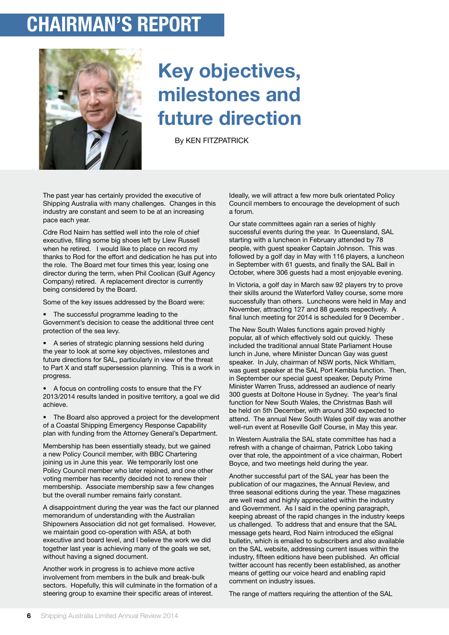## **chairman's report**



## **Key objectives, milestones and future direction**

By KEN FITZPATRICK

The past year has certainly provided the executive of Shipping Australia with many challenges. Changes in this industry are constant and seem to be at an increasing pace each year.

Cdre Rod Nairn has settled well into the role of chief executive, filling some big shoes left by Llew Russell when he retired. I would like to place on record my thanks to Rod for the effort and dedication he has put into the role. The Board met four times this year, losing one director during the term, when Phil Coolican (Gulf Agency Company) retired. A replacement director is currently being considered by the Board.

Some of the key issues addressed by the Board were:

• The successful programme leading to the Government's decision to cease the additional three cent protection of the sea levy.

• A series of strategic planning sessions held during the year to look at some key objectives, milestones and future directions for SAL, particularly in view of the threat to Part X and staff supersession planning. This is a work in progress.

• A focus on controlling costs to ensure that the FY 2013/2014 results landed in positive territory, a goal we did achieve.

• The Board also approved a project for the development of a Coastal Shipping Emergency Response Capability plan with funding from the Attorney General's Department.

Membership has been essentially steady, but we gained a new Policy Council member, with BBC Chartering joining us in June this year. We temporarily lost one Policy Council member who later rejoined, and one other voting member has recently decided not to renew their membership. Associate membership saw a few changes but the overall number remains fairly constant.

A disappointment during the year was the fact our planned memorandum of understanding with the Australian Shipowners Association did not get formalised. However, we maintain good co-operation with ASA, at both executive and board level, and I believe the work we did together last year is achieving many of the goals we set, without having a signed document.

Another work in progress is to achieve more active involvement from members in the bulk and break-bulk sectors. Hopefully, this will culminate in the formation of a steering group to examine their specific areas of interest.

Ideally, we will attract a few more bulk orientated Policy Council members to encourage the development of such a forum.

Our state committees again ran a series of highly successful events during the year. In Queensland, SAL starting with a luncheon in February attended by 78 people, with guest speaker Captain Johnson. This was followed by a golf day in May with 116 players, a luncheon in September with 61 guests, and finally the SAL Ball in October, where 306 guests had a most enjoyable evening.

In Victoria, a golf day in March saw 92 players try to prove their skills around the Waterford Valley course, some more successfully than others. Luncheons were held in May and November, attracting 127 and 88 guests respectively. A final lunch meeting for 2014 is scheduled for 9 December .

The New South Wales functions again proved highly popular, all of which effectively sold out quickly. These included the traditional annual State Parliament House lunch in June, where Minister Duncan Gay was guest speaker. In July, chairman of NSW ports, Nick Whitlam, was guest speaker at the SAL Port Kembla function. Then, in September our special guest speaker, Deputy Prime Minister Warren Truss, addressed an audience of nearly 300 guests at Doltone House in Sydney. The year's final function for New South Wales, the Christmas Bash will be held on 5th December, with around 350 expected to attend. The annual New South Wales golf day was another well-run event at Roseville Golf Course, in May this year.

In Western Australia the SAL state committee has had a refresh with a change of chairman, Patrick Lobo taking over that role, the appointment of a vice chairman, Robert Boyce, and two meetings held during the year.

Another successful part of the SAL year has been the publication of our magazines, the Annual Review, and three seasonal editions during the year. These magazines are well read and highly appreciated within the industry and Government. As I said in the opening paragraph, keeping abreast of the rapid changes in the industry keeps us challenged. To address that and ensure that the SAL message gets heard, Rod Nairn introduced the eSignal bulletin, which is emailed to subscribers and also available on the SAL website, addressing current issues within the industry, fifteen editions have been published. An official twitter account has recently been established, as another means of getting our voice heard and enabling rapid comment on industry issues.

The range of matters requiring the attention of the SAL